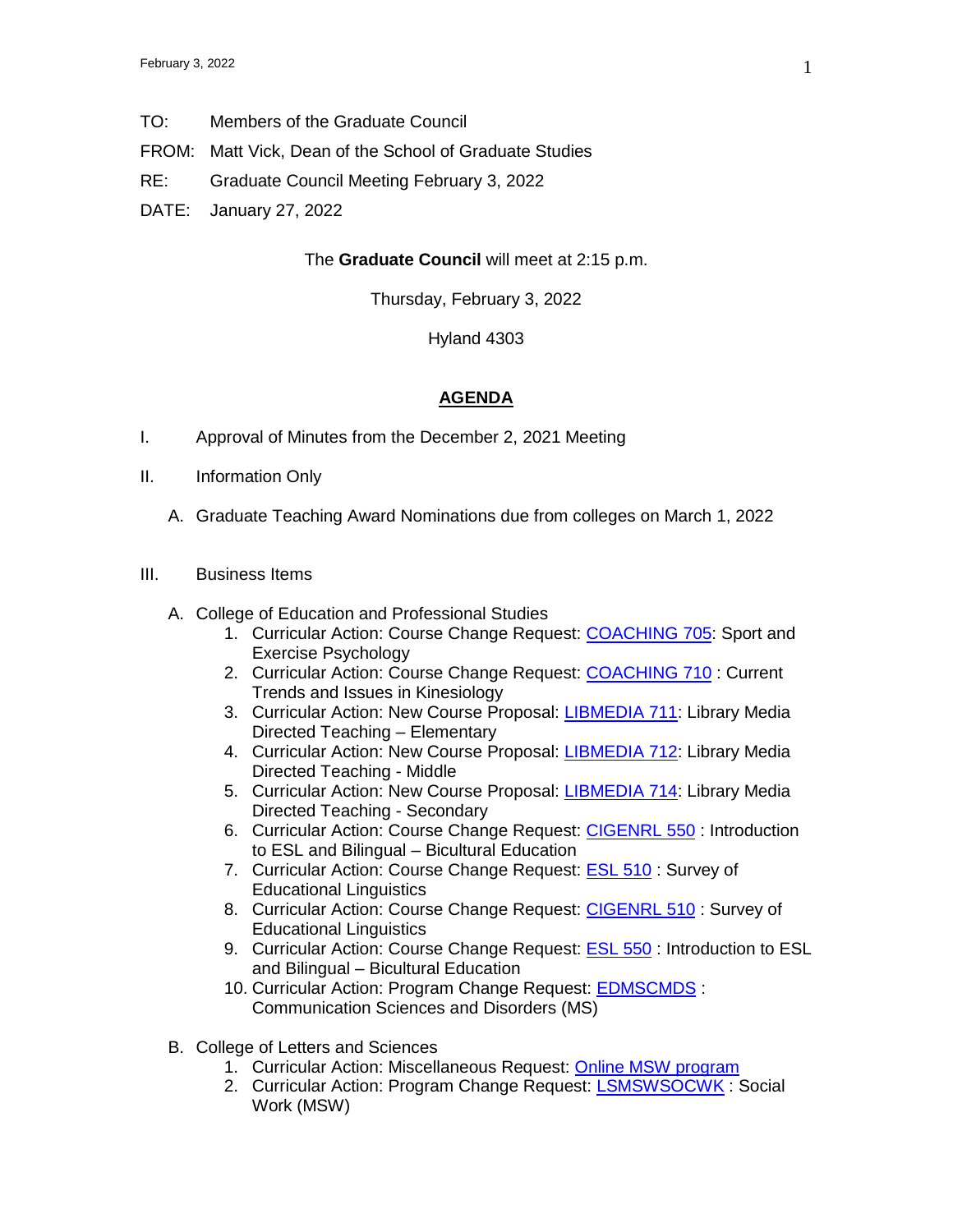- TO: Members of the Graduate Council
- FROM: Matt Vick, Dean of the School of Graduate Studies
- RE: Graduate Council Meeting February 3, 2022
- DATE: January 27, 2022

## The **Graduate Council** will meet at 2:15 p.m.

Thursday, February 3, 2022

Hyland 4303

## **AGENDA**

- I. Approval of Minutes from the December 2, 2021 Meeting
- II. Information Only
	- A. Graduate Teaching Award Nominations due from colleges on March 1, 2022

## III. Business Items

- A. College of Education and Professional Studies
	- 1. Curricular Action: Course Change Request: [COACHING 705:](https://uww-next.courseleaf.com/courseleaf/courseleaf.cgi?page=/courseadmin/1113/index.html&step=showfullrecord) Sport and Exercise Psychology
	- 2. Curricular Action: Course Change Request: [COACHING 710](https://uww-next.courseleaf.com/courseleaf/courseleaf.cgi?page=/courseadmin/1114/index.html&step=showfullrecord) : Current Trends and Issues in Kinesiology
	- 3. Curricular Action: New Course Proposal: [LIBMEDIA 711:](https://uww-next.courseleaf.com/courseleaf/courseleaf.cgi?page=/courseadmin/6546/index.html&step=showfullrecord) Library Media Directed Teaching – Elementary
	- 4. Curricular Action: New Course Proposal: [LIBMEDIA 712:](https://uww-next.courseleaf.com/courseleaf/courseleaf.cgi?page=/courseadmin/6560/index.html&step=showfullrecord) Library Media Directed Teaching - Middle
	- 5. Curricular Action: New Course Proposal: [LIBMEDIA 714:](https://uww-next.courseleaf.com/courseleaf/courseleaf.cgi?page=/courseadmin/6561/index.html&step=showfullrecord) Library Media Directed Teaching - Secondary
	- 6. Curricular Action: Course Change Request: [CIGENRL 550](https://uww-next.courseleaf.com/courseleaf/courseleaf.cgi?page=/courseadmin/1008/index.html&step=showfullrecord) : Introduction to ESL and Bilingual – Bicultural Education
	- 7. Curricular Action: Course Change Request: [ESL 510](https://uww-next.courseleaf.com/courseleaf/courseleaf.cgi?page=/courseadmin/3822/index.html&step=showfullrecord) : Survey of Educational Linguistics
	- 8. Curricular Action: Course Change Request: [CIGENRL 510](https://uww-next.courseleaf.com/courseleaf/courseleaf.cgi?page=/courseadmin/3824/index.html&step=showfullrecord) : Survey of Educational Linguistics
	- 9. Curricular Action: Course Change Request: **ESL 550** : Introduction to ESL and Bilingual – Bicultural Education
	- 10. Curricular Action: Program Change Request: [EDMSCMDS](https://uww-next.courseleaf.com/courseleaf/courseleaf.cgi?page=/programadmin/64/index.html&step=showfullrecord) : Communication Sciences and Disorders (MS)
- B. College of Letters and Sciences
	- 1. Curricular Action: Miscellaneous Request: [Online MSW program](https://uww-next.courseleaf.com/courseleaf/courseleaf.cgi?page=/miscadmin/114/index.html&step=showfullrecord)
	- 2. Curricular Action: Program Change Request: **LSMSWSOCWK** : Social Work (MSW)